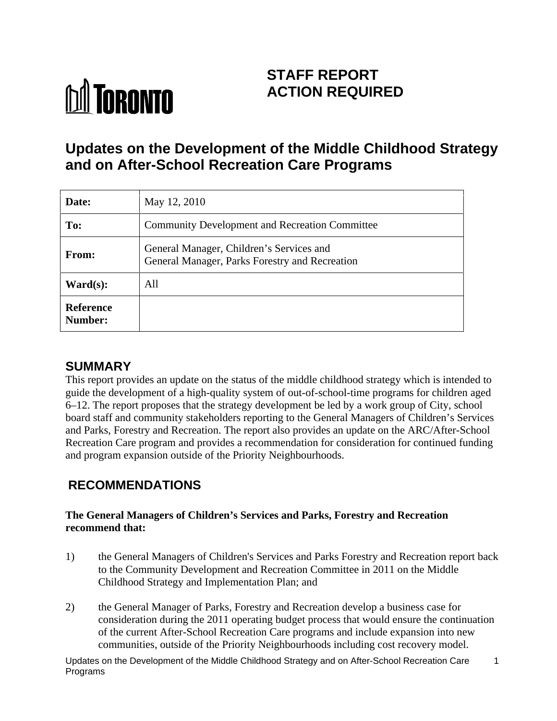# **M** TORONTO

# **STAFF REPORT ACTION REQUIRED**

# **Updates on the Development of the Middle Childhood Strategy and on After-School Recreation Care Programs**

| Date:                         | May 12, 2010                                                                               |
|-------------------------------|--------------------------------------------------------------------------------------------|
| To:                           | Community Development and Recreation Committee                                             |
| From:                         | General Manager, Children's Services and<br>General Manager, Parks Forestry and Recreation |
| $\textbf{Ward}(\textbf{s})$ : | All                                                                                        |
| Reference<br>Number:          |                                                                                            |

# **SUMMARY**

This report provides an update on the status of the middle childhood strategy which is intended to guide the development of a high-quality system of out-of-school-time programs for children aged 6–12. The report proposes that the strategy development be led by a work group of City, school board staff and community stakeholders reporting to the General Managers of Children's Services and Parks, Forestry and Recreation. The report also provides an update on the ARC/After-School Recreation Care program and provides a recommendation for consideration for continued funding and program expansion outside of the Priority Neighbourhoods.

# **RECOMMENDATIONS**

## **The General Managers of Children's Services and Parks, Forestry and Recreation recommend that:**

- 1) the General Managers of Children's Services and Parks Forestry and Recreation report back to the Community Development and Recreation Committee in 2011 on the Middle Childhood Strategy and Implementation Plan; and
- 2) the General Manager of Parks, Forestry and Recreation develop a business case for consideration during the 2011 operating budget process that would ensure the continuation of the current After-School Recreation Care programs and include expansion into new communities, outside of the Priority Neighbourhoods including cost recovery model.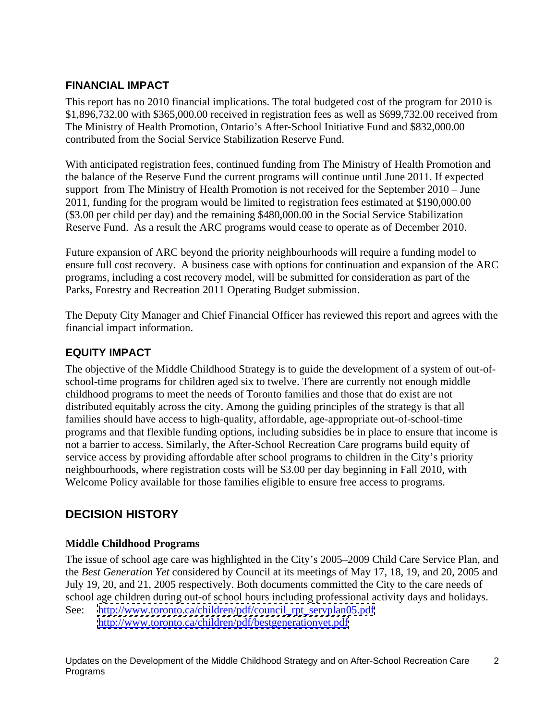## **FINANCIAL IMPACT**

This report has no 2010 financial implications. The total budgeted cost of the program for 2010 is \$1,896,732.00 with \$365,000.00 received in registration fees as well as \$699,732.00 received from The Ministry of Health Promotion, Ontario's After-School Initiative Fund and \$832,000.00 contributed from the Social Service Stabilization Reserve Fund.

With anticipated registration fees, continued funding from The Ministry of Health Promotion and the balance of the Reserve Fund the current programs will continue until June 2011. If expected support from The Ministry of Health Promotion is not received for the September 2010 – June 2011, funding for the program would be limited to registration fees estimated at \$190,000.00 (\$3.00 per child per day) and the remaining \$480,000.00 in the Social Service Stabilization Reserve Fund. As a result the ARC programs would cease to operate as of December 2010.

Future expansion of ARC beyond the priority neighbourhoods will require a funding model to ensure full cost recovery. A business case with options for continuation and expansion of the ARC programs, including a cost recovery model, will be submitted for consideration as part of the Parks, Forestry and Recreation 2011 Operating Budget submission.

The Deputy City Manager and Chief Financial Officer has reviewed this report and agrees with the financial impact information.

## **EQUITY IMPACT**

The objective of the Middle Childhood Strategy is to guide the development of a system of out-of school-time programs for children aged six to twelve. There are currently not enough middle childhood programs to meet the needs of Toronto families and those that do exist are not distributed equitably across the city. Among the guiding principles of the strategy is that all families should have access to high-quality, affordable, age-appropriate out-of-school-time programs and that flexible funding options, including subsidies be in place to ensure that income is not a barrier to access. Similarly, the After-School Recreation Care programs build equity of service access by providing affordable after school programs to children in the City's priority neighbourhoods, where registration costs will be \$3.00 per day beginning in Fall 2010, with Welcome Policy available for those families eligible to ensure free access to programs.

## **DECISION HISTORY**

## **Middle Childhood Programs**

The issue of school age care was highlighted in the City's 2005–2009 Child Care Service Plan, and the *Best Generation Yet* considered by Council at its meetings of May 17, 18, 19, and 20, 2005 and July 19, 20, and 21, 2005 respectively. Both documents committed the City to the care needs of school age children during out-of school hours including professional activity days and holidays.

See: [http://www.toronto.ca/children/pdf/council\\_rpt\\_servplan05.pdf](http://www.toronto.ca/children/pdf/council_rpt_servplan05.pdf) <http://www.toronto.ca/children/pdf/bestgenerationyet.pdf>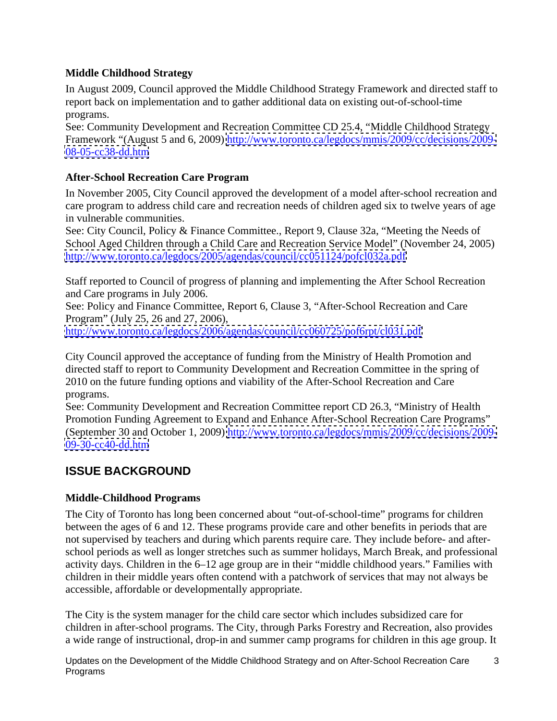## **Middle Childhood Strategy**

In August 2009, Council approved the Middle Childhood Strategy Framework and directed staff to report back on implementation and to gather additional data on existing out-of-school-time programs.

See: Community Development and Recreation Committee CD 25.4, "Middle Childhood Strategy Framework "(August 5 and 6, 2009) <http://www.toronto.ca/legdocs/mmis/2009/cc/decisions/2009->  $08 - 05 - c c 38 - d d.$ htm

## **After-School Recreation Care Program**

In November 2005, City Council approved the development of a model after-school recreation and care program to address child care and recreation needs of children aged six to twelve years of age in vulnerable communities.

See: City Council, Policy & Finance Committee., Report 9, Clause 32a, "Meeting the Needs of School Aged Children through a Child Care and Recreation Service Model" (November 24, 2005) <http://www.toronto.ca/legdocs/2005/agendas/council/cc051124/pofcl032a.pdf>

Staff reported to Council of progress of planning and implementing the After School Recreation and Care programs in July 2006.

See: Policy and Finance Committee, Report 6, Clause 3, "After-School Recreation and Care Program" (July 25, 26 and 27, 2006),

<http://www.toronto.ca/legdocs/2006/agendas/council/cc060725/pof6rpt/cl031.pdf>

City Council approved the acceptance of funding from the Ministry of Health Promotion and directed staff to report to Community Development and Recreation Committee in the spring of 2010 on the future funding options and viability of the After-School Recreation and Care programs.

See: Community Development and Recreation Committee report CD 26.3, "Ministry of Health Promotion Funding Agreement to Expand and Enhance After-School Recreation Care Programs" (September 30 and October 1, 2009)<http://www.toronto.ca/legdocs/mmis/2009/cc/decisions/2009-> <09-30-cc40-dd.htm>l and the state of the state of the state of the state of the state of the state of the state of the state of the state of the state of the state of the state of the state of the state of the state of the

## **ISSUE BACKGROUND**

## **Middle-Childhood Programs**

The City of Toronto has long been concerned about "out-of-school-time" programs for children between the ages of 6 and 12. These programs provide care and other benefits in periods that are not supervised by teachers and during which parents require care. They include before- and after school periods as well as longer stretches such as summer holidays, March Break, and professional activity days. Children in the 6–12 age group are in their "middle childhood years." Families with children in their middle years often contend with a patchwork of services that may not always be accessible, affordable or developmentally appropriate.

The City is the system manager for the child care sector which includes subsidized care for children in after-school programs. The City, through Parks Forestry and Recreation, also provides a wide range of instructional, drop-in and summer camp programs for children in this age group. It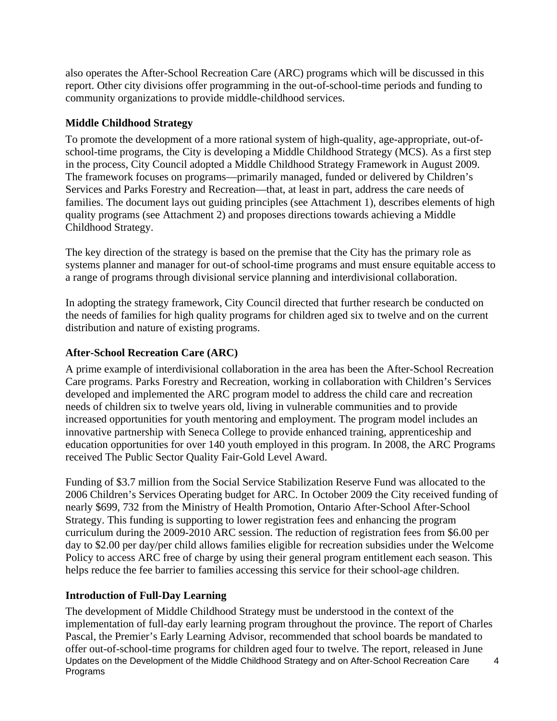also operates the After-School Recreation Care (ARC) programs which will be discussed in this report. Other city divisions offer programming in the out-of-school-time periods and funding to community organizations to provide middle-childhood services.

## **Middle Childhood Strategy**

To promote the development of a more rational system of high-quality, age-appropriate, out-of school-time programs, the City is developing a Middle Childhood Strategy (MCS). As a first step in the process, City Council adopted a Middle Childhood Strategy Framework in August 2009. The framework focuses on programs—primarily managed, funded or delivered by Children's Services and Parks Forestry and Recreation—that, at least in part, address the care needs of families. The document lays out guiding principles (see Attachment 1), describes elements of high quality programs (see Attachment 2) and proposes directions towards achieving a Middle Childhood Strategy.

The key direction of the strategy is based on the premise that the City has the primary role as systems planner and manager for out-of school-time programs and must ensure equitable access to a range of programs through divisional service planning and interdivisional collaboration.

In adopting the strategy framework, City Council directed that further research be conducted on the needs of families for high quality programs for children aged six to twelve and on the current distribution and nature of existing programs.

## **After-School Recreation Care (ARC)**

A prime example of interdivisional collaboration in the area has been the After-School Recreation Care programs. Parks Forestry and Recreation, working in collaboration with Children's Services developed and implemented the ARC program model to address the child care and recreation needs of children six to twelve years old, living in vulnerable communities and to provide increased opportunities for youth mentoring and employment. The program model includes an innovative partnership with Seneca College to provide enhanced training, apprenticeship and education opportunities for over 140 youth employed in this program. In 2008, the ARC Programs received The Public Sector Quality Fair-Gold Level Award.

Funding of \$3.7 million from the Social Service Stabilization Reserve Fund was allocated to the 2006 Children's Services Operating budget for ARC. In October 2009 the City received funding of nearly \$699, 732 from the Ministry of Health Promotion, Ontario After-School After-School Strategy. This funding is supporting to lower registration fees and enhancing the program curriculum during the 2009-2010 ARC session. The reduction of registration fees from \$6.00 per day to \$2.00 per day/per child allows families eligible for recreation subsidies under the Welcome Policy to access ARC free of charge by using their general program entitlement each season. This helps reduce the fee barrier to families accessing this service for their school-age children.

## **Introduction of Full-Day Learning**

Updates on the Development of the Middle Childhood Strategy and on After-School Recreation Care Programs 4 The development of Middle Childhood Strategy must be understood in the context of the implementation of full-day early learning program throughout the province. The report of Charles Pascal, the Premier's Early Learning Advisor, recommended that school boards be mandated to offer out-of-school-time programs for children aged four to twelve. The report, released in June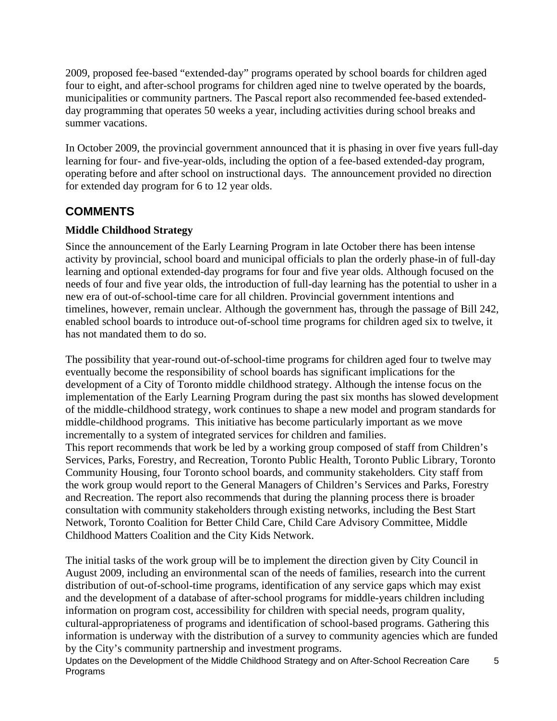2009, proposed fee-based "extended-day" programs operated by school boards for children aged four to eight, and after-school programs for children aged nine to twelve operated by the boards, municipalities or community partners. The Pascal report also recommended fee-based extended day programming that operates 50 weeks a year, including activities during school breaks and summer vacations.

In October 2009, the provincial government announced that it is phasing in over five years full-day learning for four- and five-vear-olds, including the option of a fee-based extended-day program. operating before and after school on instructional days. The announcement provided no direction for extended day program for 6 to 12 year olds.

## **COMMENTS**

## **Middle Childhood Strategy**

Since the announcement of the Early Learning Program in late October there has been intense activity by provincial, school board and municipal officials to plan the orderly phase-in of full-day learning and optional extended-day programs for four and five year olds. Although focused on the needs of four and five year olds, the introduction of full-day learning has the potential to usher in a new era of out-of-school-time care for all children. Provincial government intentions and timelines, however, remain unclear. Although the government has, through the passage of Bill 242, enabled school boards to introduce out-of-school time programs for children aged six to twelve, it has not mandated them to do so.

The possibility that year-round out-of-school-time programs for children aged four to twelve may eventually become the responsibility of school boards has significant implications for the development of a City of Toronto middle childhood strategy. Although the intense focus on the implementation of the Early Learning Program during the past six months has slowed development of the middle-childhood strategy, work continues to shape a new model and program standards for middle-childhood programs. This initiative has become particularly important as we move incrementally to a system of integrated services for children and families. This report recommends that work be led by a working group composed of staff from Children's Services, Parks, Forestry, and Recreation, Toronto Public Health, Toronto Public Library, Toronto Community Housing, four Toronto school boards, and community stakeholders*.* City staff from the work group would report to the General Managers of Children's Services and Parks, Forestry and Recreation. The report also recommends that during the planning process there is broader consultation with community stakeholders through existing networks, including the Best Start Network, Toronto Coalition for Better Child Care, Child Care Advisory Committee, Middle Childhood Matters Coalition and the City Kids Network.

The initial tasks of the work group will be to implement the direction given by City Council in August 2009, including an environmental scan of the needs of families, research into the current distribution of out-of-school-time programs, identification of any service gaps which may exist and the development of a database of after-school programs for middle-years children including information on program cost, accessibility for children with special needs, program quality, cultural-appropriateness of programs and identification of school-based programs. Gathering this information is underway with the distribution of a survey to community agencies which are funded by the City's community partnership and investment programs.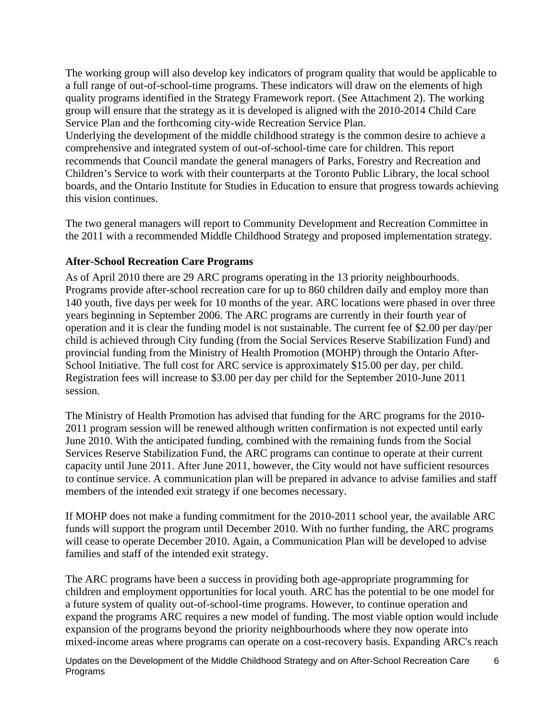The working group will also develop key indicators of program quality that would be applicable to a full range of out-of-school-time programs. These indicators will draw on the elements of high quality programs identified in the Strategy Framework report. (See Attachment 2). The working group will ensure that the strategy as it is developed is aligned with the 2010-2014 Child Care Service Plan and the forthcoming city-wide Recreation Service Plan.

Underlying the development of the middle childhood strategy is the common desire to achieve a comprehensive and integrated system of out-of-school-time care for children. This report recommends that Council mandate the general managers of Parks, Forestry and Recreation and Children's Service to work with their counterparts at the Toronto Public Library, the local school boards, and the Ontario Institute for Studies in Education to ensure that progress towards achieving this vision continues.

The two general managers will report to Community Development and Recreation Committee in the 2011 with a recommended Middle Childhood Strategy and proposed implementation strategy.

## **After-School Recreation Care Programs**

As of April 2010 there are 29 ARC programs operating in the 13 priority neighbourhoods. Programs provide after-school recreation care for up to 860 children daily and employ more than 140 youth, five days per week for 10 months of the year. ARC locations were phased in over three years beginning in September 2006. The ARC programs are currently in their fourth year of operation and it is clear the funding model is not sustainable. The current fee of \$2.00 per day/per child is achieved through City funding (from the Social Services Reserve Stabilization Fund) and provincial funding from the Ministry of Health Promotion (MOHP) through the Ontario After- School Initiative. The full cost for ARC service is approximately \$15.00 per day, per child. Registration fees will increase to \$3.00 per day per child for the September 2010-June 2011 session.

The Ministry of Health Promotion has advised that funding for the ARC programs for the 2010- 2011 program session will be renewed although written confirmation is not expected until early June 2010. With the anticipated funding, combined with the remaining funds from the Social Services Reserve Stabilization Fund, the ARC programs can continue to operate at their current capacity until June 2011. After June 2011, however, the City would not have sufficient resources to continue service. A communication plan will be prepared in advance to advise families and staff members of the intended exit strategy if one becomes necessary.

If MOHP does not make a funding commitment for the 2010-2011 school year, the available ARC funds will support the program until December 2010. With no further funding, the ARC programs will cease to operate December 2010. Again, a Communication Plan will be developed to advise families and staff of the intended exit strategy.

The ARC programs have been a success in providing both age-appropriate programming for children and employment opportunities for local youth. ARC has the potential to be one model for a future system of quality out-of-school-time programs. However, to continue operation and expand the programs ARC requires a new model of funding. The most viable option would include expansion of the programs beyond the priority neighbourhoods where they now operate into mixed-income areas where programs can operate on a cost-recovery basis. Expanding ARC's reach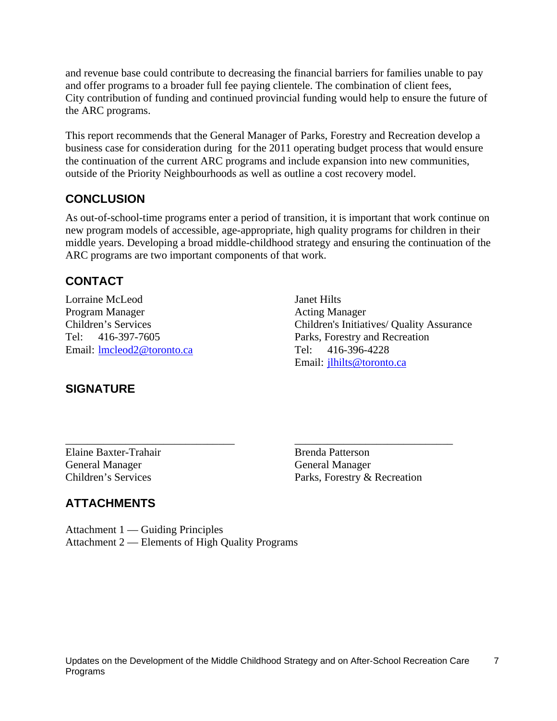and revenue base could contribute to decreasing the financial barriers for families unable to pay and offer programs to a broader full fee paying clientele. The combination of client fees, City contribution of funding and continued provincial funding would help to ensure the future of the ARC programs.

This report recommends that the General Manager of Parks, Forestry and Recreation develop a business case for consideration during for the 2011 operating budget process that would ensure the continuation of the current ARC programs and include expansion into new communities, outside of the Priority Neighbourhoods as well as outline a cost recovery model.

## **CONCLUSION**

As out-of-school-time programs enter a period of transition, it is important that work continue on new program models of accessible, age-appropriate, high quality programs for children in their middle years. Developing a broad middle-childhood strategy and ensuring the continuation of the ARC programs are two important components of that work.

## **CONTACT**

Lorraine McLeod Janet Hilts Program Manager **Acting Manager** Acting Manager Children's Services Children's Initiatives/ Quality Assurance Tel: 416-397-7605 Parks, Forestry and Recreation Email: <u>Imcleod2@toronto.ca</u> Tel: 416-396-4228 Email: jlhilts@toronto.ca

## **SIGNATURE**

 $\overline{\phantom{a}}$  , and the contract of the contract of the contract of the contract of the contract of the contract of the contract of the contract of the contract of the contract of the contract of the contract of the contrac

Elaine Baxter-Trahair and Brenda Patterson General Manager General Manager Children's Services Parks, Forestry & Recreation

## **ATTACHMENTS**

Attachment 1 — Guiding Principles Attachment 2 — Elements of High Quality Programs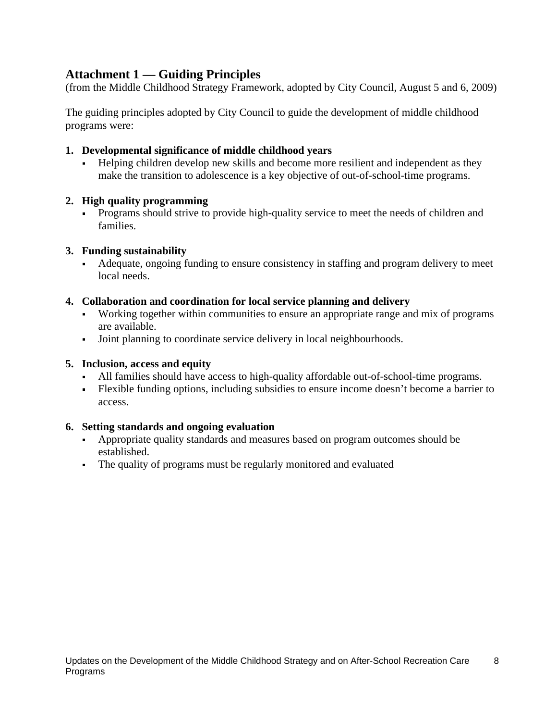## **Attachment 1 — Guiding Principles**

(from the Middle Childhood Strategy Framework, adopted by City Council, August 5 and 6, 2009)

The guiding principles adopted by City Council to guide the development of middle childhood programs were:

#### **1. Developmental significance of middle childhood years**

Helping children develop new skills and become more resilient and independent as they make the transition to adolescence is a key objective of out-of-school-time programs.

#### **2. High quality programming**

Programs should strive to provide high-quality service to meet the needs of children and families.

#### **3. Funding sustainability**

 $\mathbf{r}$ Adequate, ongoing funding to ensure consistency in staffing and program delivery to meet local needs.

#### **4. Collaboration and coordination for local service planning and delivery**

- Working together within communities to ensure an appropriate range and mix of programs are available.
- Joint planning to coordinate service delivery in local neighbourhoods.

### **5. Inclusion, access and equity**

- All families should have access to high-quality affordable out-of-school-time programs.
- Flexible funding options, including subsidies to ensure income doesn't become a barrier to access.

## **6. Setting standards and ongoing evaluation**

- $\mathbf{r}$ Appropriate quality standards and measures based on program outcomes should be established.
- The quality of programs must be regularly monitored and evaluated